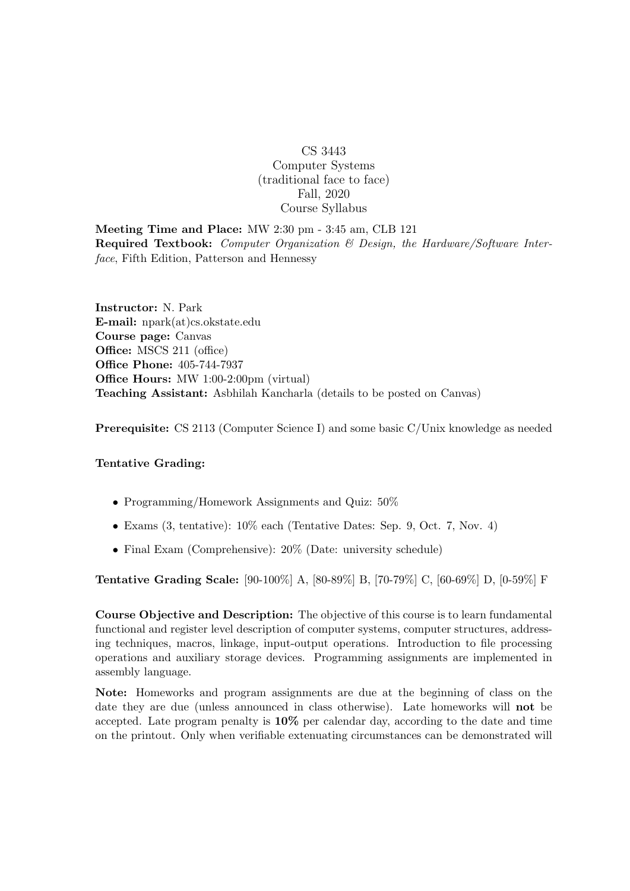## CS 3443 Computer Systems (traditional face to face) Fall, 2020 Course Syllabus

Meeting Time and Place: MW 2:30 pm - 3:45 am, CLB 121 Required Textbook: Computer Organization & Design, the Hardware/Software Interface, Fifth Edition, Patterson and Hennessy

Instructor: N. Park E-mail: npark(at)cs.okstate.edu Course page: Canvas Office: MSCS 211 (office) Office Phone: 405-744-7937 Office Hours: MW 1:00-2:00pm (virtual) Teaching Assistant: Asbhilah Kancharla (details to be posted on Canvas)

Prerequisite: CS 2113 (Computer Science I) and some basic C/Unix knowledge as needed

## Tentative Grading:

- Programming/Homework Assignments and Quiz:  $50\%$
- Exams (3, tentative): 10% each (Tentative Dates: Sep. 9, Oct. 7, Nov. 4)
- Final Exam (Comprehensive): 20% (Date: university schedule)

Tentative Grading Scale: [90-100%] A, [80-89%] B, [70-79%] C, [60-69%] D, [0-59%] F

Course Objective and Description: The objective of this course is to learn fundamental functional and register level description of computer systems, computer structures, addressing techniques, macros, linkage, input-output operations. Introduction to file processing operations and auxiliary storage devices. Programming assignments are implemented in assembly language.

Note: Homeworks and program assignments are due at the beginning of class on the date they are due (unless announced in class otherwise). Late homeworks will not be accepted. Late program penalty is 10% per calendar day, according to the date and time on the printout. Only when verifiable extenuating circumstances can be demonstrated will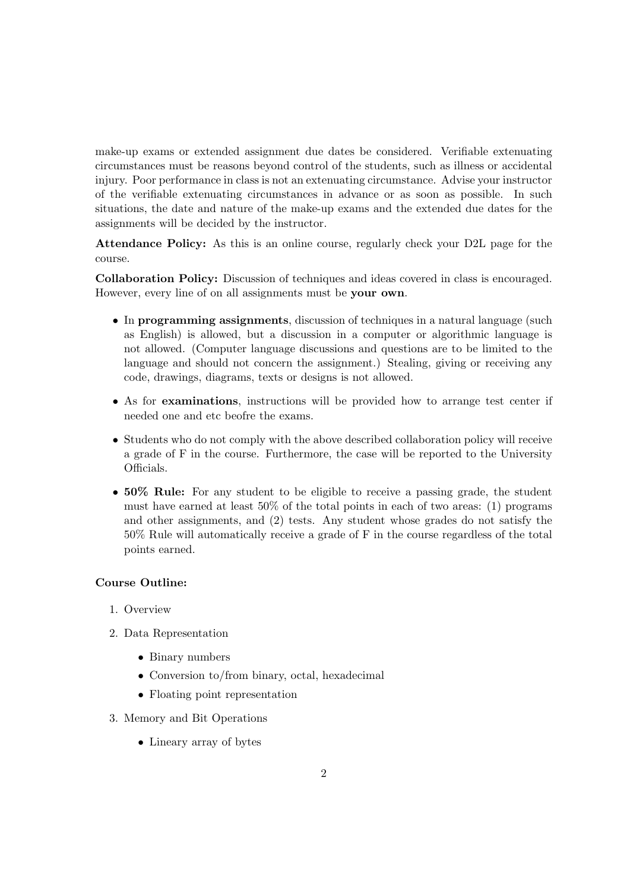make-up exams or extended assignment due dates be considered. Verifiable extenuating circumstances must be reasons beyond control of the students, such as illness or accidental injury. Poor performance in class is not an extenuating circumstance. Advise your instructor of the verifiable extenuating circumstances in advance or as soon as possible. In such situations, the date and nature of the make-up exams and the extended due dates for the assignments will be decided by the instructor.

Attendance Policy: As this is an online course, regularly check your D2L page for the course.

Collaboration Policy: Discussion of techniques and ideas covered in class is encouraged. However, every line of on all assignments must be your own.

- In programming assignments, discussion of techniques in a natural language (such as English) is allowed, but a discussion in a computer or algorithmic language is not allowed. (Computer language discussions and questions are to be limited to the language and should not concern the assignment.) Stealing, giving or receiving any code, drawings, diagrams, texts or designs is not allowed.
- As for examinations, instructions will be provided how to arrange test center if needed one and etc beofre the exams.
- Students who do not comply with the above described collaboration policy will receive a grade of F in the course. Furthermore, the case will be reported to the University Officials.
- 50% Rule: For any student to be eligible to receive a passing grade, the student must have earned at least 50% of the total points in each of two areas: (1) programs and other assignments, and (2) tests. Any student whose grades do not satisfy the 50% Rule will automatically receive a grade of F in the course regardless of the total points earned.

## Course Outline:

- 1. Overview
- 2. Data Representation
	- Binary numbers
	- Conversion to/from binary, octal, hexadecimal
	- Floating point representation
- 3. Memory and Bit Operations
	- Lineary array of bytes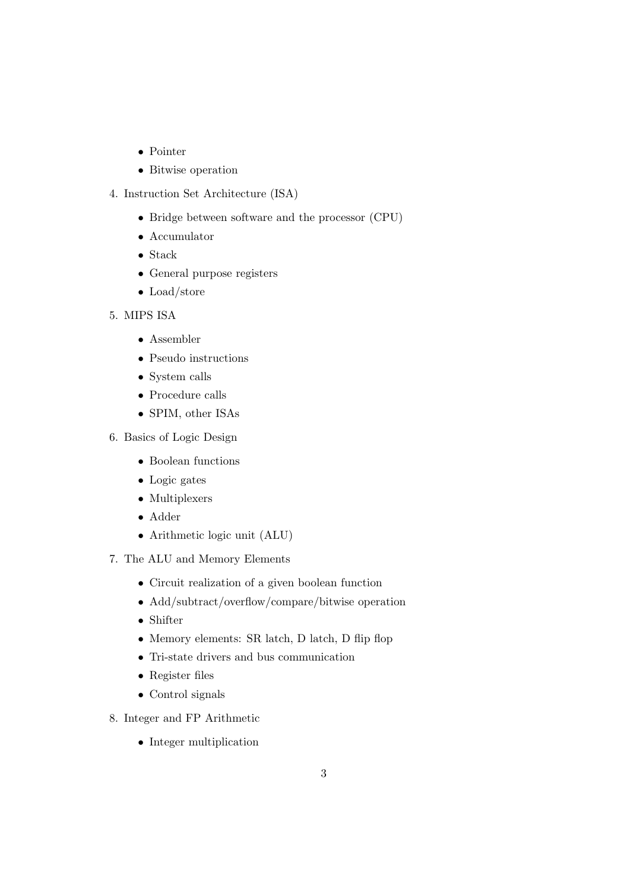- Pointer
- Bitwise operation
- 4. Instruction Set Architecture (ISA)
	- Bridge between software and the processor (CPU)
	- Accumulator
	- Stack
	- General purpose registers
	- Load/store
- 5. MIPS ISA
	- Assembler
	- Pseudo instructions
	- System calls
	- Procedure calls
	- SPIM, other ISAs
- 6. Basics of Logic Design
	- Boolean functions
	- Logic gates
	- Multiplexers
	- Adder
	- Arithmetic logic unit (ALU)
- 7. The ALU and Memory Elements
	- Circuit realization of a given boolean function
	- Add/subtract/overflow/compare/bitwise operation
	- Shifter
	- Memory elements: SR latch, D latch, D flip flop
	- Tri-state drivers and bus communication
	- Register files
	- Control signals
- 8. Integer and FP Arithmetic
	- Integer multiplication